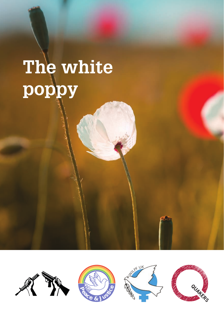# The white poppy